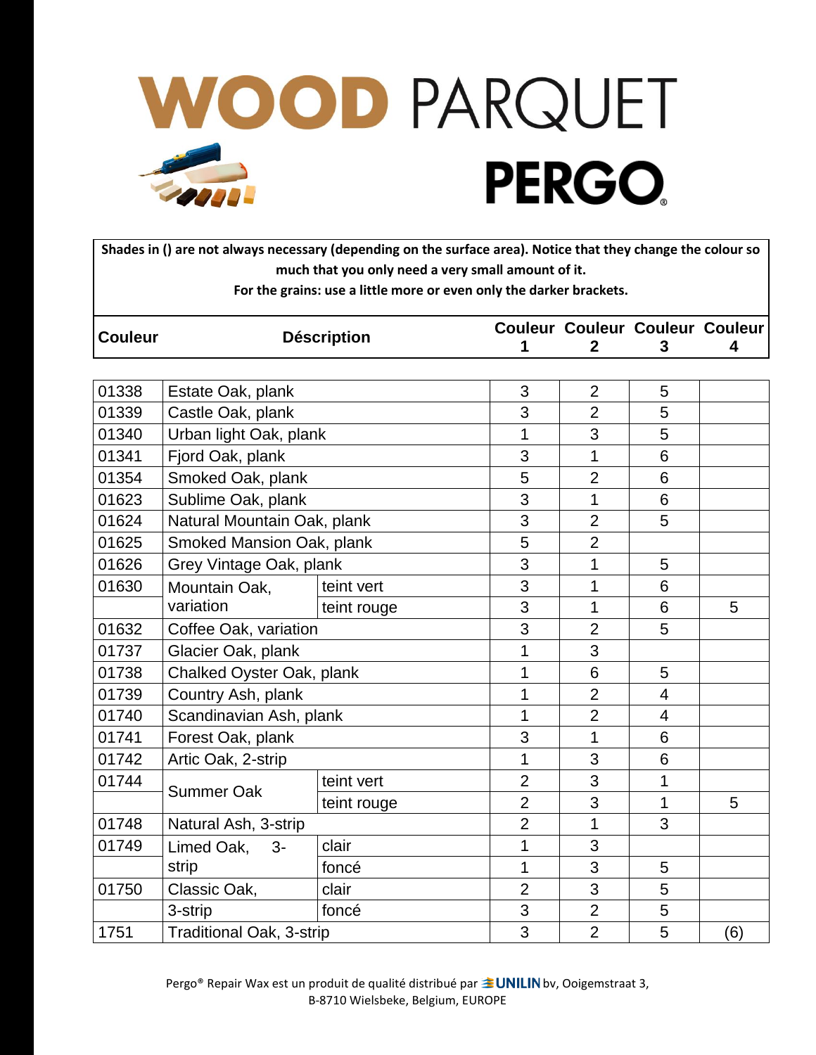

**Shades in () are not always necessary (depending on the surface area). Notice that they change the colour so much that you only need a very small amount of it. For the grains: use a little more or even only the darker brackets.**

| <b>Couleur</b> |                             | <b>Déscription</b> |                | 2              | 3                       | Couleur Couleur Couleur Couleur<br>4 |
|----------------|-----------------------------|--------------------|----------------|----------------|-------------------------|--------------------------------------|
|                |                             |                    |                |                |                         |                                      |
| 01338          | Estate Oak, plank           | 3                  | $\overline{2}$ | 5              |                         |                                      |
| 01339          | Castle Oak, plank           |                    | 3              | $\overline{2}$ | 5                       |                                      |
| 01340          | Urban light Oak, plank      |                    | 1              | 3              | 5                       |                                      |
| 01341          | Fjord Oak, plank            |                    | 3              | $\mathbf{1}$   | 6                       |                                      |
| 01354          | Smoked Oak, plank           |                    | 5              | $\overline{2}$ | 6                       |                                      |
| 01623          | Sublime Oak, plank          |                    | 3              | 1              | 6                       |                                      |
| 01624          | Natural Mountain Oak, plank |                    | 3              | $\overline{2}$ | 5                       |                                      |
| 01625          | Smoked Mansion Oak, plank   |                    | 5              | $\overline{2}$ |                         |                                      |
| 01626          | Grey Vintage Oak, plank     |                    | 3              | 1              | 5                       |                                      |
| 01630          | Mountain Oak,               | teint vert         | 3              | $\overline{1}$ | 6                       |                                      |
|                | variation                   | teint rouge        | 3              | 1              | 6                       | 5                                    |
| 01632          | Coffee Oak, variation       |                    | 3              | $\overline{2}$ | 5                       |                                      |
| 01737          | Glacier Oak, plank          |                    | 1              | 3              |                         |                                      |
| 01738          | Chalked Oyster Oak, plank   |                    | 1              | 6              | 5                       |                                      |
| 01739          | Country Ash, plank          |                    | 1              | $\overline{2}$ | $\overline{\mathbf{4}}$ |                                      |
| 01740          | Scandinavian Ash, plank     |                    | 1              | $\overline{2}$ | 4                       |                                      |
| 01741          | Forest Oak, plank           |                    | 3              | $\overline{1}$ | 6                       |                                      |
| 01742          | Artic Oak, 2-strip          |                    | 1              | 3              | 6                       |                                      |
| 01744          | <b>Summer Oak</b>           | teint vert         | $\overline{2}$ | 3              | 1                       |                                      |
|                |                             | teint rouge        | $\overline{2}$ | 3              | $\mathbf{1}$            | 5                                    |
| 01748          | Natural Ash, 3-strip        |                    | $\overline{2}$ | 1              | 3                       |                                      |
| 01749          | Limed Oak,<br>$3-$          | clair              | 1              | 3              |                         |                                      |
|                | strip                       | foncé              | 1              | 3              | 5                       |                                      |
| 01750          | Classic Oak,                | clair              | $\overline{2}$ | 3              | 5                       |                                      |
|                | 3-strip                     | foncé              | 3              | $\overline{2}$ | 5                       |                                      |
| 1751           | Traditional Oak, 3-strip    |                    | 3              | $\overline{2}$ | 5                       | (6)                                  |

Pergo® Repair Wax est un produit de qualité distribué par  $\triangle$  **UNILIN** by, Ooigemstraat 3, B-8710 Wielsbeke, Belgium, EUROPE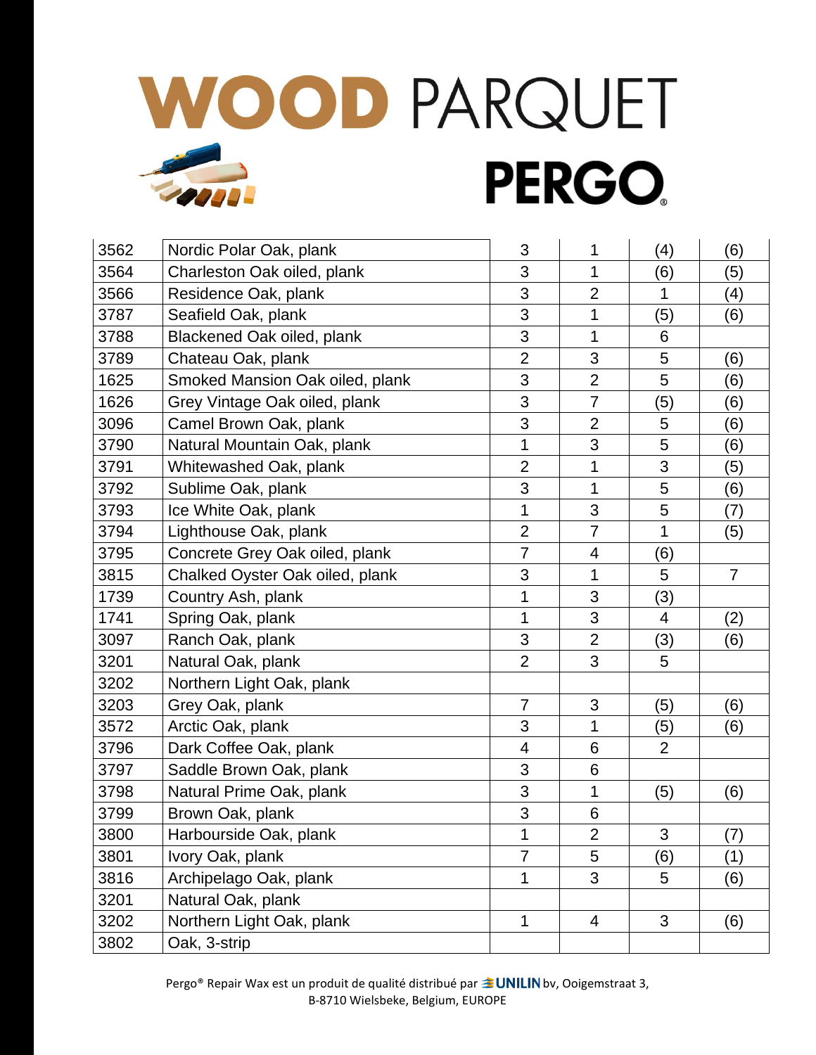## WOOD PARQUET

| 3562 | Nordic Polar Oak, plank         | 3              | 1              | (4)            | (6)            |
|------|---------------------------------|----------------|----------------|----------------|----------------|
| 3564 | Charleston Oak oiled, plank     | 3              | 1              | (6)            | (5)            |
| 3566 | Residence Oak, plank            | 3              | $\overline{2}$ | 1              | (4)            |
| 3787 | Seafield Oak, plank             | 3              | 1              | (5)            | (6)            |
| 3788 | Blackened Oak oiled, plank      | 3              | 1              | 6              |                |
| 3789 | Chateau Oak, plank              | $\overline{2}$ | 3              | 5              | (6)            |
| 1625 | Smoked Mansion Oak oiled, plank | 3              | $\overline{2}$ | 5              | (6)            |
| 1626 | Grey Vintage Oak oiled, plank   | 3              | $\overline{7}$ | (5)            | (6)            |
| 3096 | Camel Brown Oak, plank          | 3              | $\overline{2}$ | 5              | (6)            |
| 3790 | Natural Mountain Oak, plank     | 1              | 3              | 5              | (6)            |
| 3791 | Whitewashed Oak, plank          | $\overline{2}$ | 1              | 3              | (5)            |
| 3792 | Sublime Oak, plank              | 3              | 1              | 5              | (6)            |
| 3793 | Ice White Oak, plank            | 1              | 3              | 5              | (7)            |
| 3794 | Lighthouse Oak, plank           | $\overline{2}$ | $\overline{7}$ | 1              | (5)            |
| 3795 | Concrete Grey Oak oiled, plank  | $\overline{7}$ | 4              | (6)            |                |
| 3815 | Chalked Oyster Oak oiled, plank | 3              | 1              | 5              | $\overline{7}$ |
| 1739 | Country Ash, plank              | 1              | 3              | (3)            |                |
| 1741 | Spring Oak, plank               | 1              | 3              | 4              | (2)            |
| 3097 | Ranch Oak, plank                | 3              | $\overline{2}$ | (3)            | (6)            |
| 3201 | Natural Oak, plank              | $\overline{2}$ | 3              | 5              |                |
| 3202 | Northern Light Oak, plank       |                |                |                |                |
| 3203 | Grey Oak, plank                 | $\overline{7}$ | 3              | (5)            | (6)            |
| 3572 | Arctic Oak, plank               | 3              | 1              | (5)            | (6)            |
| 3796 | Dark Coffee Oak, plank          | 4              | 6              | $\overline{2}$ |                |
| 3797 | Saddle Brown Oak, plank         | 3              | 6              |                |                |
| 3798 | Natural Prime Oak, plank        | 3              | 1              | (5)            | (6)            |
| 3799 | Brown Oak, plank                | 3              | 6              |                |                |
| 3800 | Harbourside Oak, plank          | 1              | $\mathbf{2}$   | 3              | (7)            |
| 3801 | Ivory Oak, plank                | $\overline{7}$ | 5              | (6)            | (1)            |
| 3816 | Archipelago Oak, plank          | 1              | 3              | 5              | (6)            |
| 3201 | Natural Oak, plank              |                |                |                |                |
| 3202 | Northern Light Oak, plank       | $\mathbf{1}$   | 4              | 3              | (6)            |
| 3802 | Oak, 3-strip                    |                |                |                |                |

Pergo® Repair Wax est un produit de qualité distribué par **EUNILIN** bv, Ooigemstraat 3, B-8710 Wielsbeke, Belgium, EUROPE